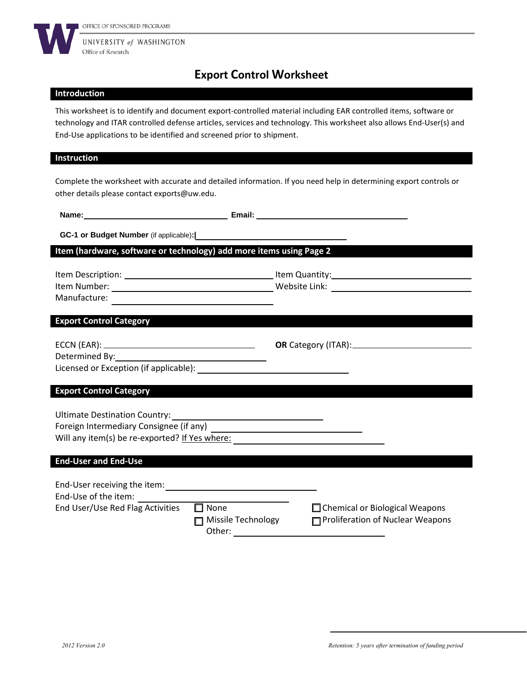

# **Export Control Worksheet**

#### **Introduction**

This worksheet is to identify and document export-controlled material including EAR controlled items, software or technology and ITAR controlled defense articles, services and technology. This worksheet also allows End-User(s) and End-Use applications to be identified and screened prior to shipment.

#### **Instruction**

Complete the worksheet with accurate and detailed information. If you need help in determining export controls or other details please contact exports@uw.edu.

**Name:** <u>**Email: Email: Email: Email: Email: Email: Email: Email: Email: Email: Email: Email: Email: EMAIL: EMAIL: EMAIL: EMAIL: EMAIL: EMAIL: EMAIL: EMAIL: EMAIL: EMAIL: EMAIL</u>** 

**GC-1 or Budget Number** (if applicable)**:|**

### **Item (hardware, software or technology) add more items using Page 2**

| Item Description: | Item Quantity: |
|-------------------|----------------|
| Item Number:      | Website Link:  |
| Manufacture:      |                |

#### **Export Control Category**

| $ECCN$ (EAR): $\_$                     | <b>OR</b> Category (ITAR): |
|----------------------------------------|----------------------------|
| Determined By:                         |                            |
| Licensed or Exception (if applicable): |                            |

#### **Export Control Category**

Ultimate Destination Country: Foreign Intermediary Consignee (if any) Will any item(s) be re-exported? If Yes where:

#### **End-User and End-Use**

| End-User receiving the item:<br>End-Use of the item: |                                             |                                                                           |
|------------------------------------------------------|---------------------------------------------|---------------------------------------------------------------------------|
| End User/Use Red Flag Activities                     | $\Box$ None<br>Missile Technology<br>Other: | $\Box$ Chemical or Biological Weapons<br>Proliferation of Nuclear Weapons |